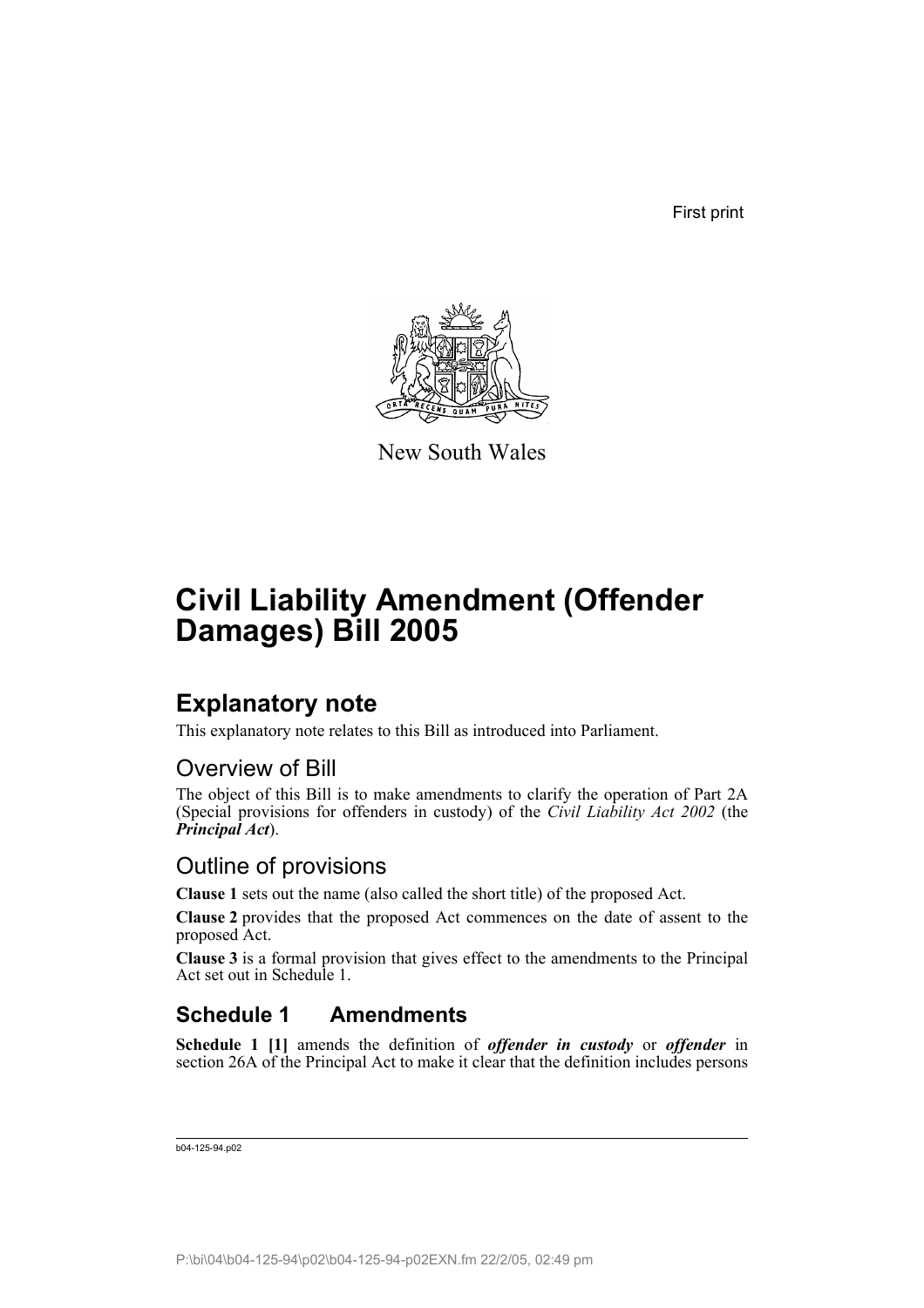First print



New South Wales

# **Civil Liability Amendment (Offender Damages) Bill 2005**

## **Explanatory note**

This explanatory note relates to this Bill as introduced into Parliament.

#### Overview of Bill

The object of this Bill is to make amendments to clarify the operation of Part 2A (Special provisions for offenders in custody) of the *Civil Liability Act 2002* (the *Principal Act*).

#### Outline of provisions

**Clause 1** sets out the name (also called the short title) of the proposed Act.

**Clause 2** provides that the proposed Act commences on the date of assent to the proposed Act.

**Clause 3** is a formal provision that gives effect to the amendments to the Principal Act set out in Schedule 1.

### **Schedule 1 Amendments**

**Schedule 1 [1]** amends the definition of *offender in custody* or *offender* in section 26A of the Principal Act to make it clear that the definition includes persons

b04-125-94.p02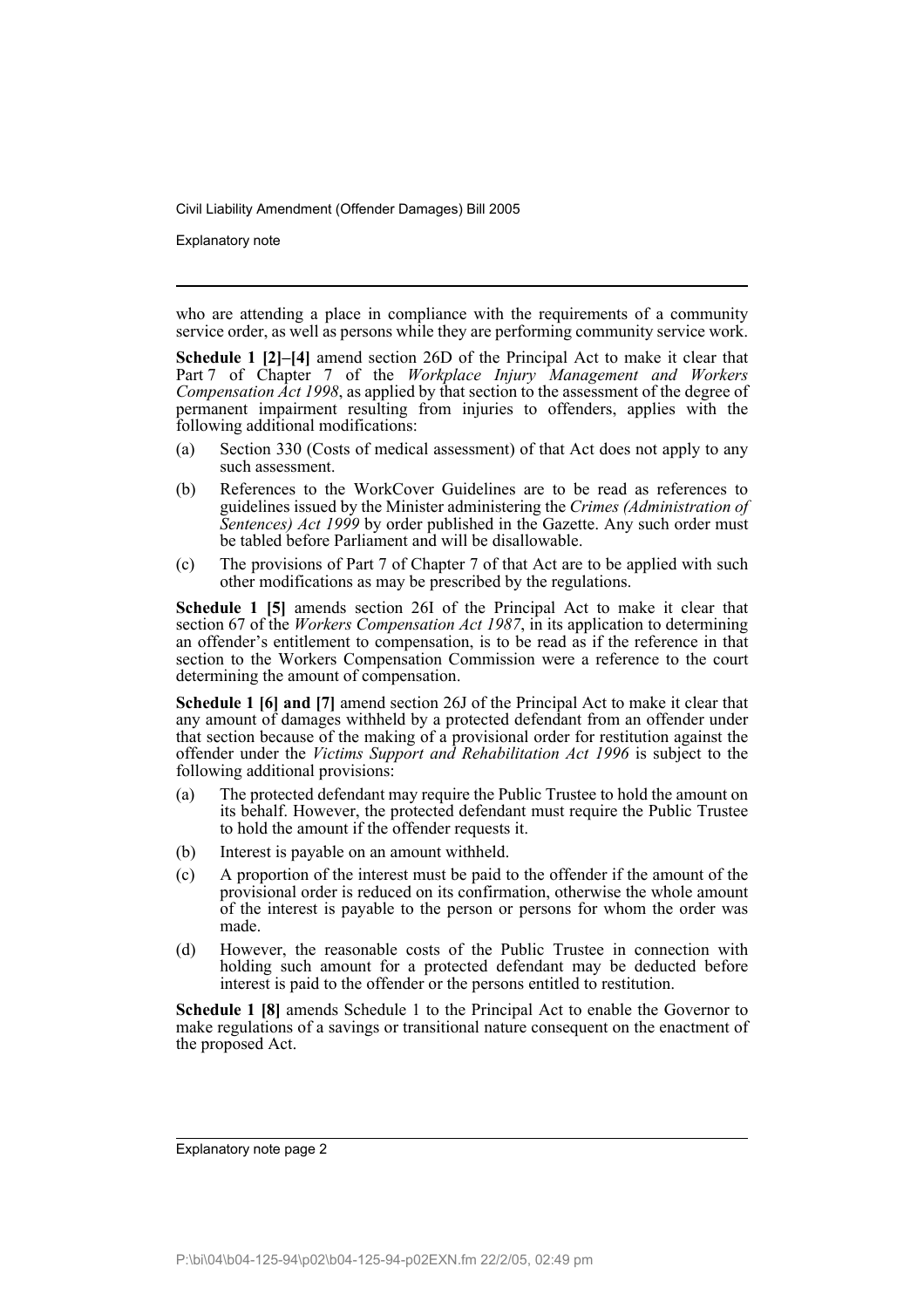Explanatory note

who are attending a place in compliance with the requirements of a community service order, as well as persons while they are performing community service work.

**Schedule 1 [2]–[4]** amend section 26D of the Principal Act to make it clear that Part 7 of Chapter 7 of the *Workplace Injury Management and Workers Compensation Act 1998*, as applied by that section to the assessment of the degree of permanent impairment resulting from injuries to offenders, applies with the following additional modifications:

- (a) Section 330 (Costs of medical assessment) of that Act does not apply to any such assessment.
- (b) References to the WorkCover Guidelines are to be read as references to guidelines issued by the Minister administering the *Crimes (Administration of Sentences) Act 1999* by order published in the Gazette. Any such order must be tabled before Parliament and will be disallowable.
- (c) The provisions of Part 7 of Chapter 7 of that Act are to be applied with such other modifications as may be prescribed by the regulations.

**Schedule 1 [5]** amends section 26I of the Principal Act to make it clear that section 67 of the *Workers Compensation Act 1987*, in its application to determining an offender's entitlement to compensation, is to be read as if the reference in that section to the Workers Compensation Commission were a reference to the court determining the amount of compensation.

**Schedule 1 [6] and [7]** amend section 26J of the Principal Act to make it clear that any amount of damages withheld by a protected defendant from an offender under that section because of the making of a provisional order for restitution against the offender under the *Victims Support and Rehabilitation Act 1996* is subject to the following additional provisions:

- (a) The protected defendant may require the Public Trustee to hold the amount on its behalf. However, the protected defendant must require the Public Trustee to hold the amount if the offender requests it.
- (b) Interest is payable on an amount withheld.
- (c) A proportion of the interest must be paid to the offender if the amount of the provisional order is reduced on its confirmation, otherwise the whole amount of the interest is payable to the person or persons for whom the order was made.
- (d) However, the reasonable costs of the Public Trustee in connection with holding such amount for a protected defendant may be deducted before interest is paid to the offender or the persons entitled to restitution.

**Schedule 1 [8]** amends Schedule 1 to the Principal Act to enable the Governor to make regulations of a savings or transitional nature consequent on the enactment of the proposed Act.

Explanatory note page 2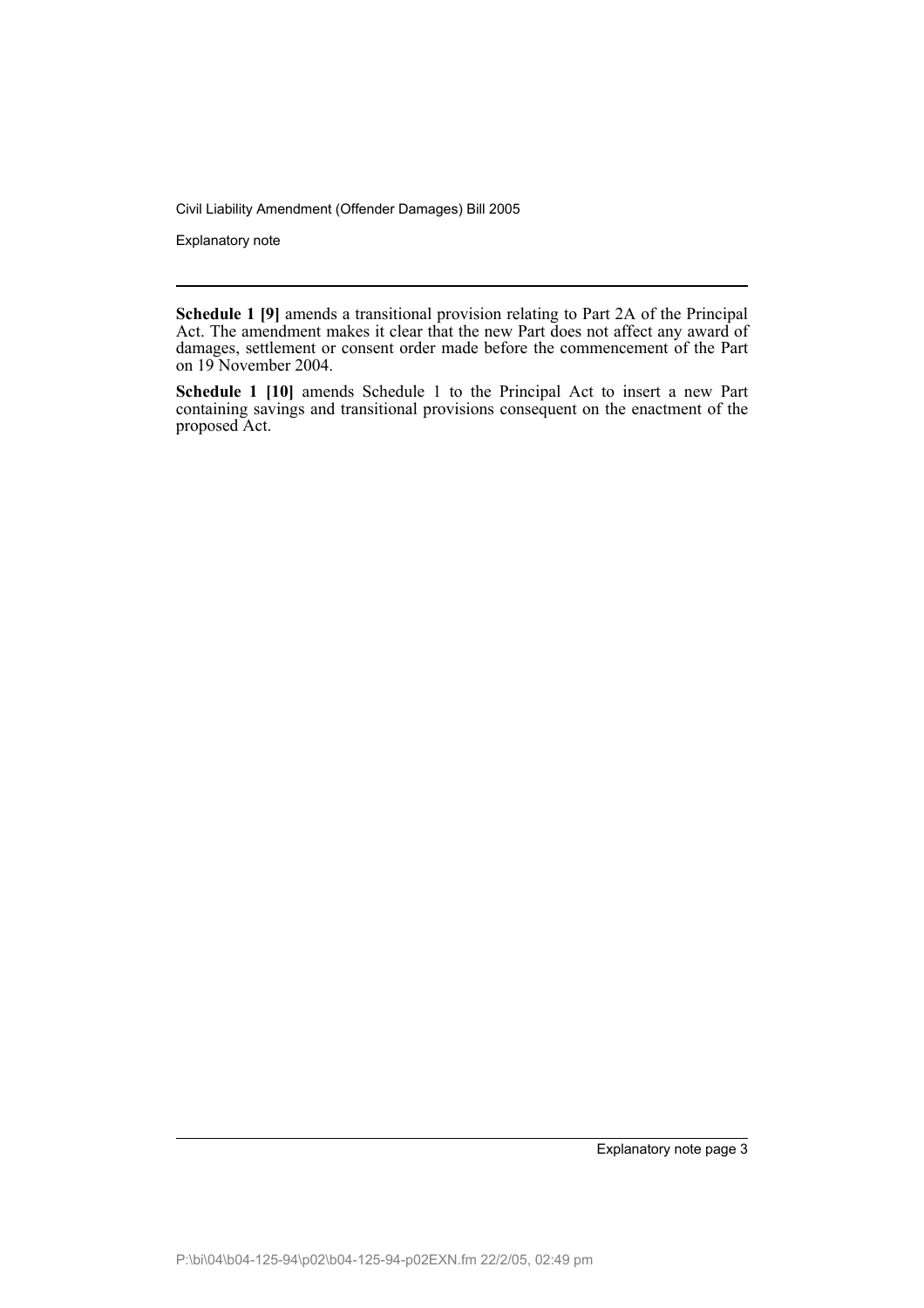Explanatory note

**Schedule 1 [10]** amends Schedule 1 to the Principal Act to insert a new Part containing savings and transitional provisions consequent on the enactment of the proposed Act.

Explanatory note page 3

**Schedule 1 [9]** amends a transitional provision relating to Part 2A of the Principal Act. The amendment makes it clear that the new Part does not affect any award of damages, settlement or consent order made before the commencement of the Part on 19 November 2004.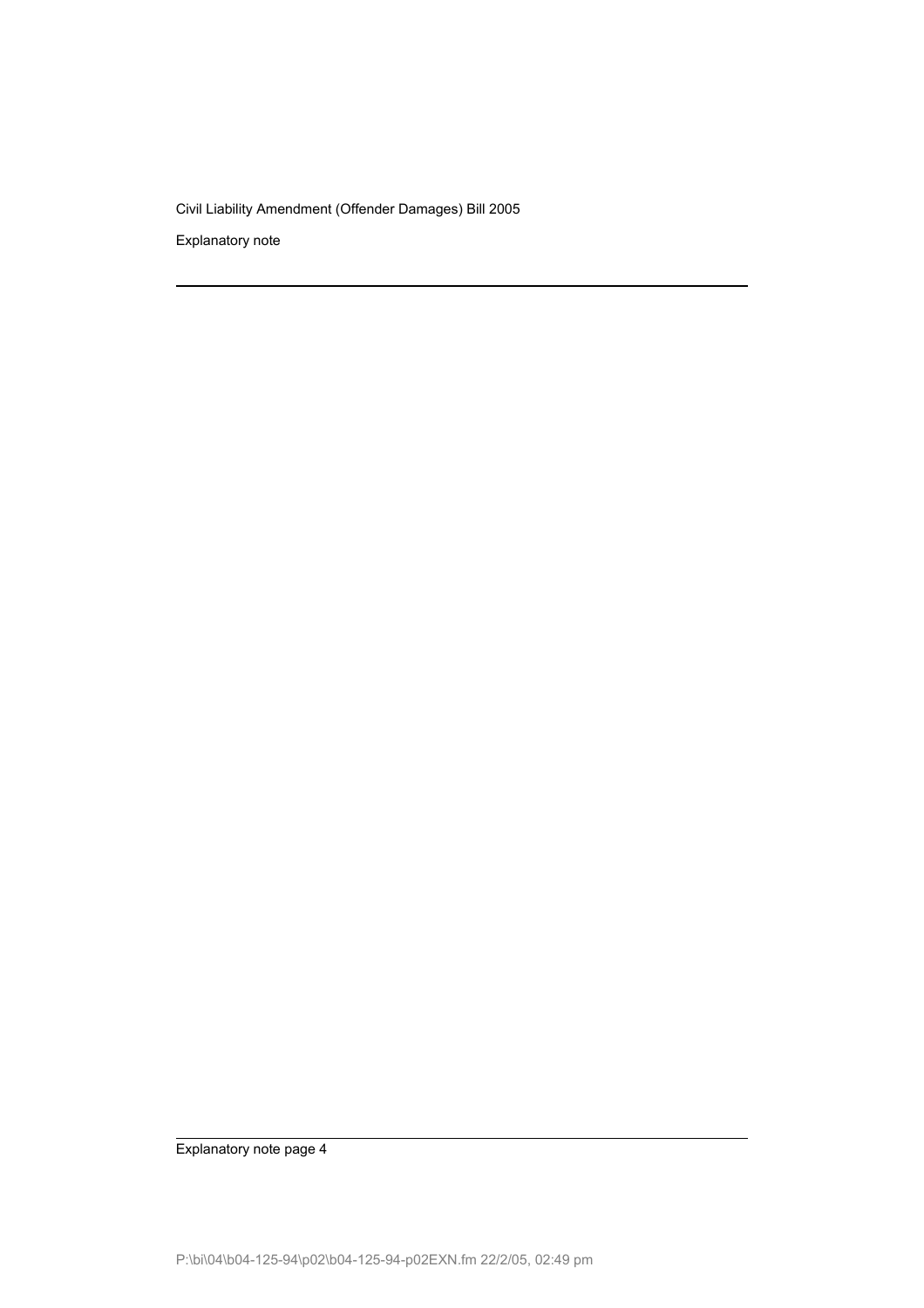Explanatory note

Explanatory note page 4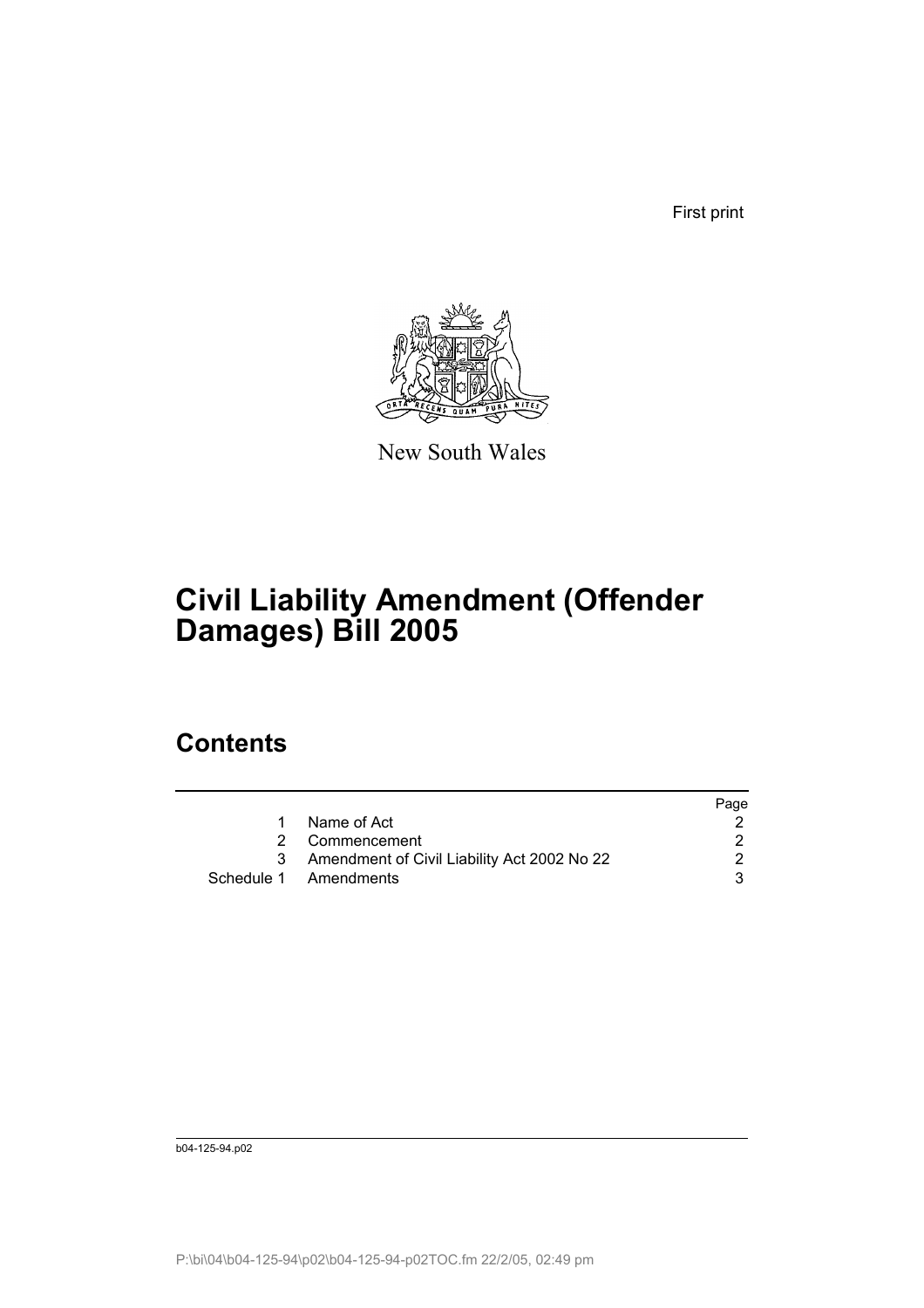First print



New South Wales

# **Civil Liability Amendment (Offender Damages) Bill 2005**

### **Contents**

|                                               | Page |
|-----------------------------------------------|------|
| Name of Act                                   |      |
| 2 Commencement                                |      |
| 3 Amendment of Civil Liability Act 2002 No 22 |      |
| Schedule 1 Amendments                         |      |

b04-125-94.p02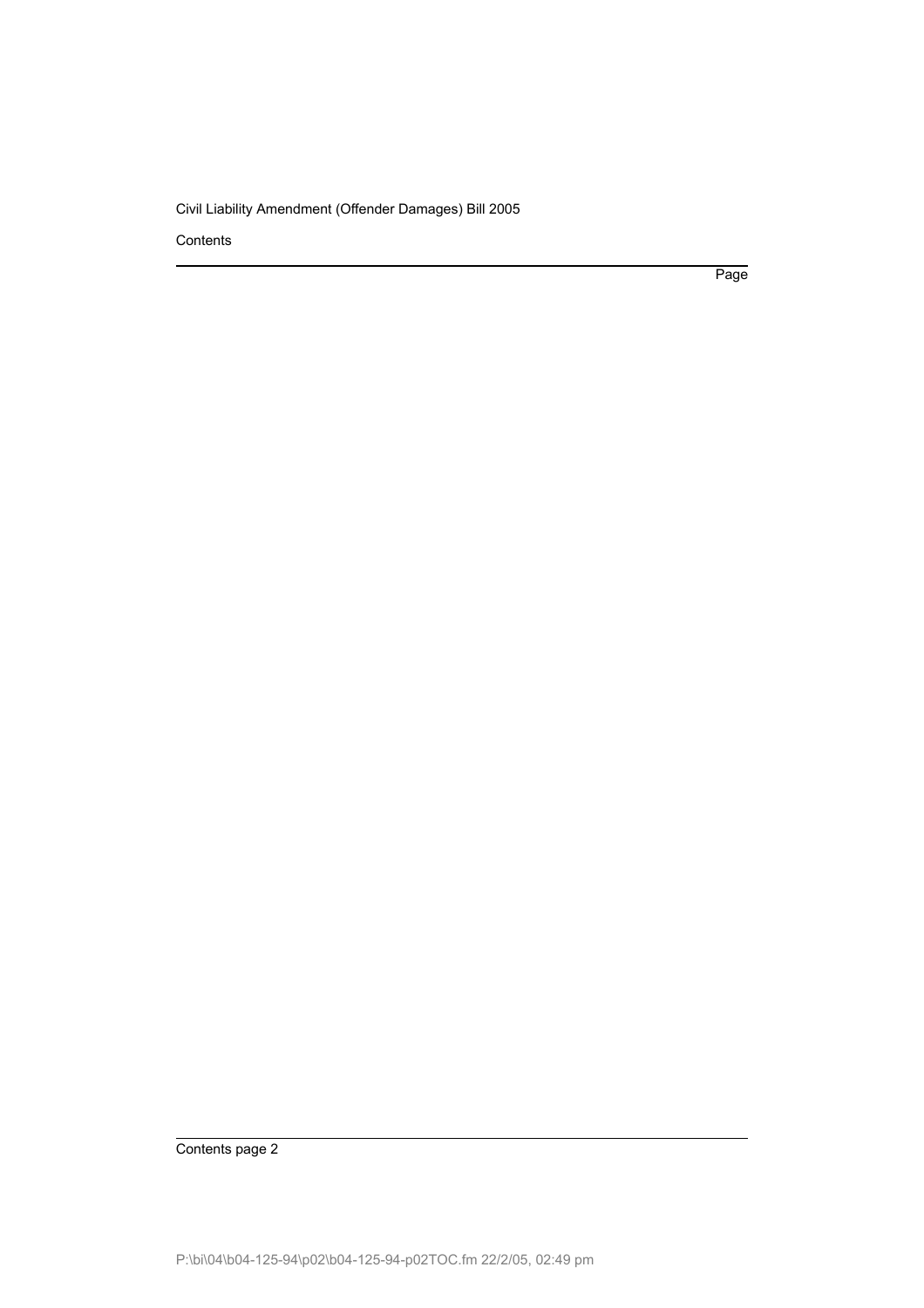**Contents** 

Page

Contents page 2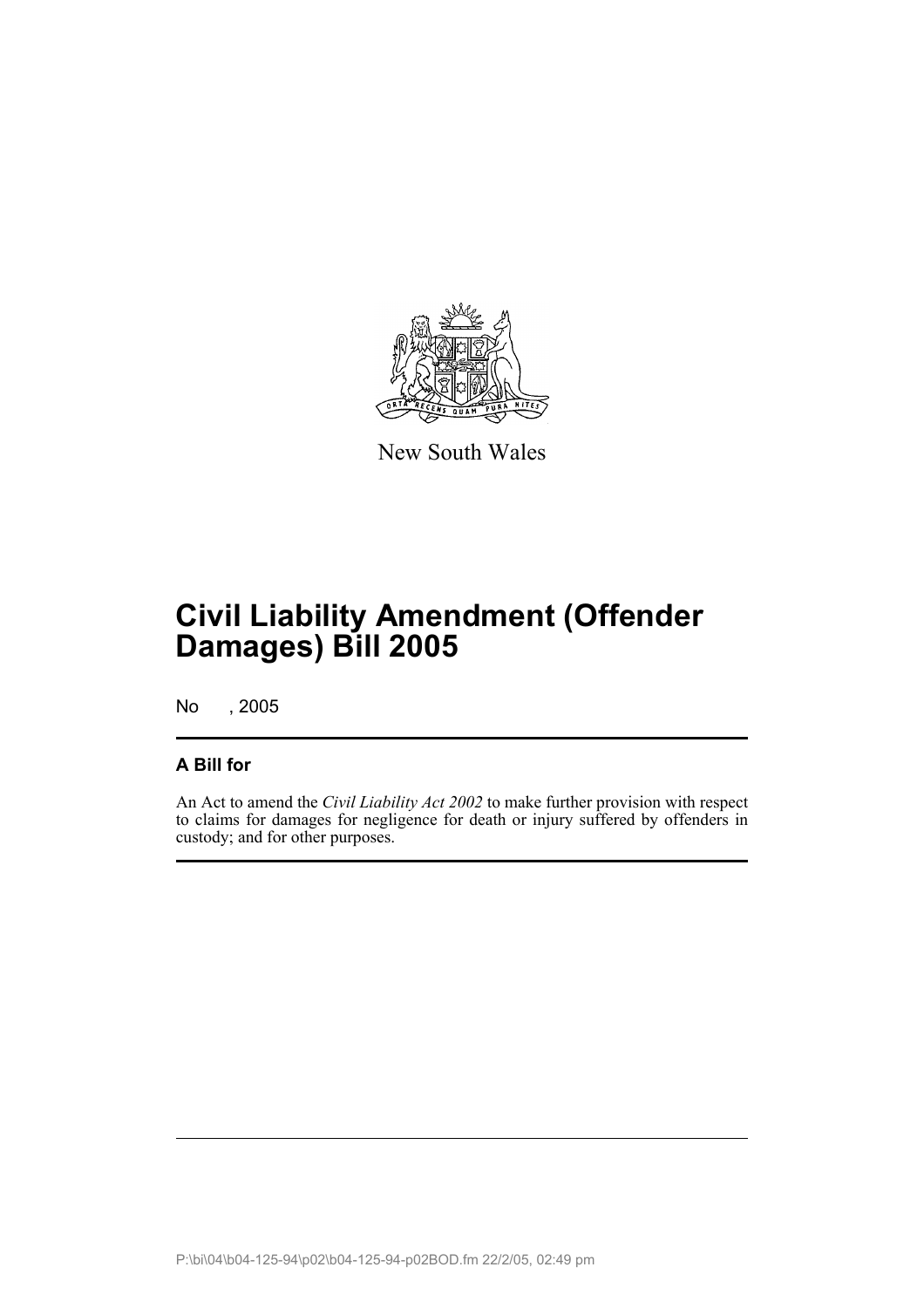

New South Wales

# **Civil Liability Amendment (Offender Damages) Bill 2005**

No , 2005

#### **A Bill for**

An Act to amend the *Civil Liability Act 2002* to make further provision with respect to claims for damages for negligence for death or injury suffered by offenders in custody; and for other purposes.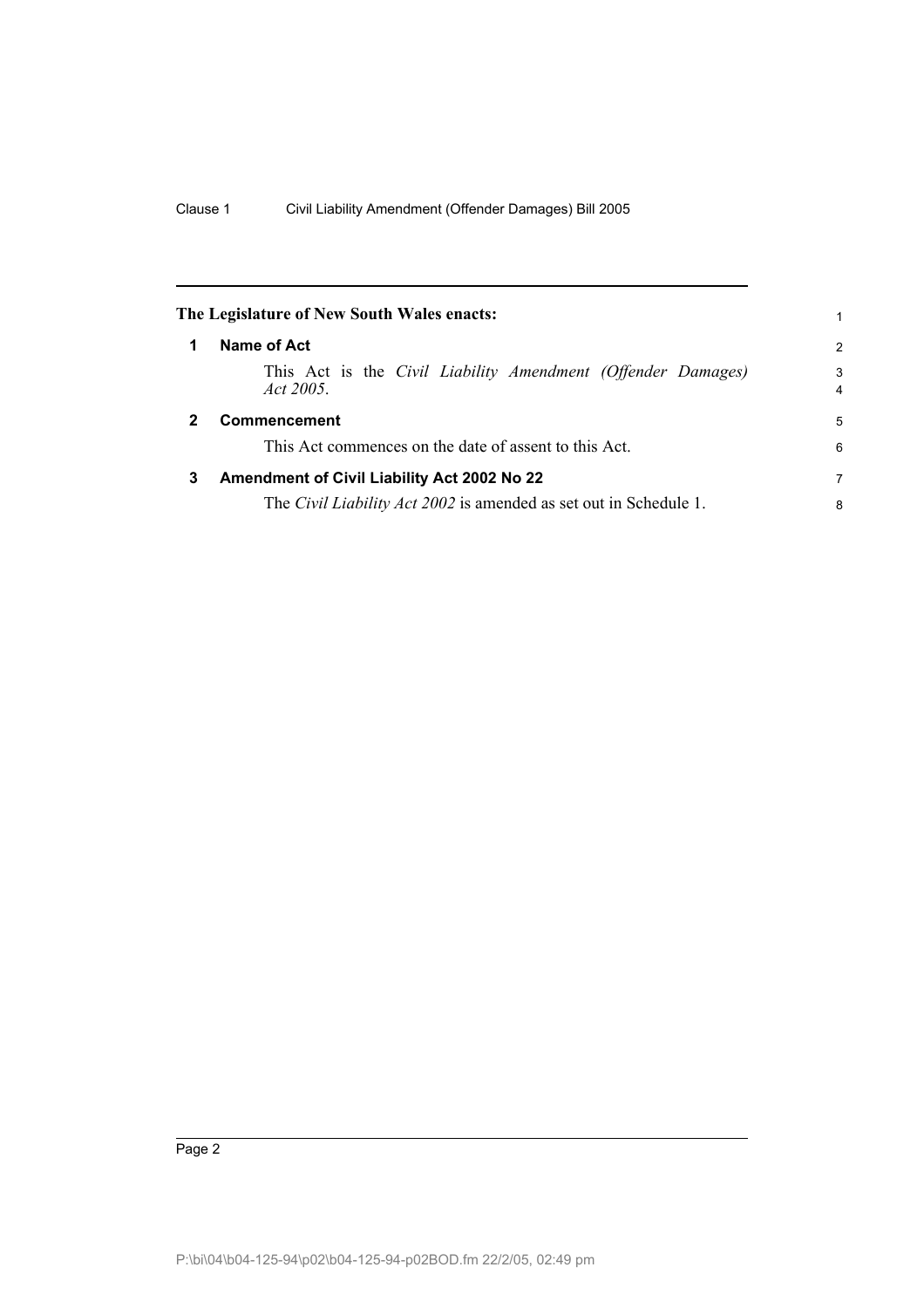|              | The Legislature of New South Wales enacts:                                |                     |
|--------------|---------------------------------------------------------------------------|---------------------|
| 1            | Name of Act                                                               | 2                   |
|              | This Act is the Civil Liability Amendment (Offender Damages)<br>Act 2005. | 3<br>$\overline{4}$ |
| $\mathbf{2}$ | <b>Commencement</b>                                                       | 5                   |
|              | This Act commences on the date of assent to this Act.                     | 6                   |
| 3            | Amendment of Civil Liability Act 2002 No 22                               | 7                   |
|              | The <i>Civil Liability Act 2002</i> is amended as set out in Schedule 1.  | 8                   |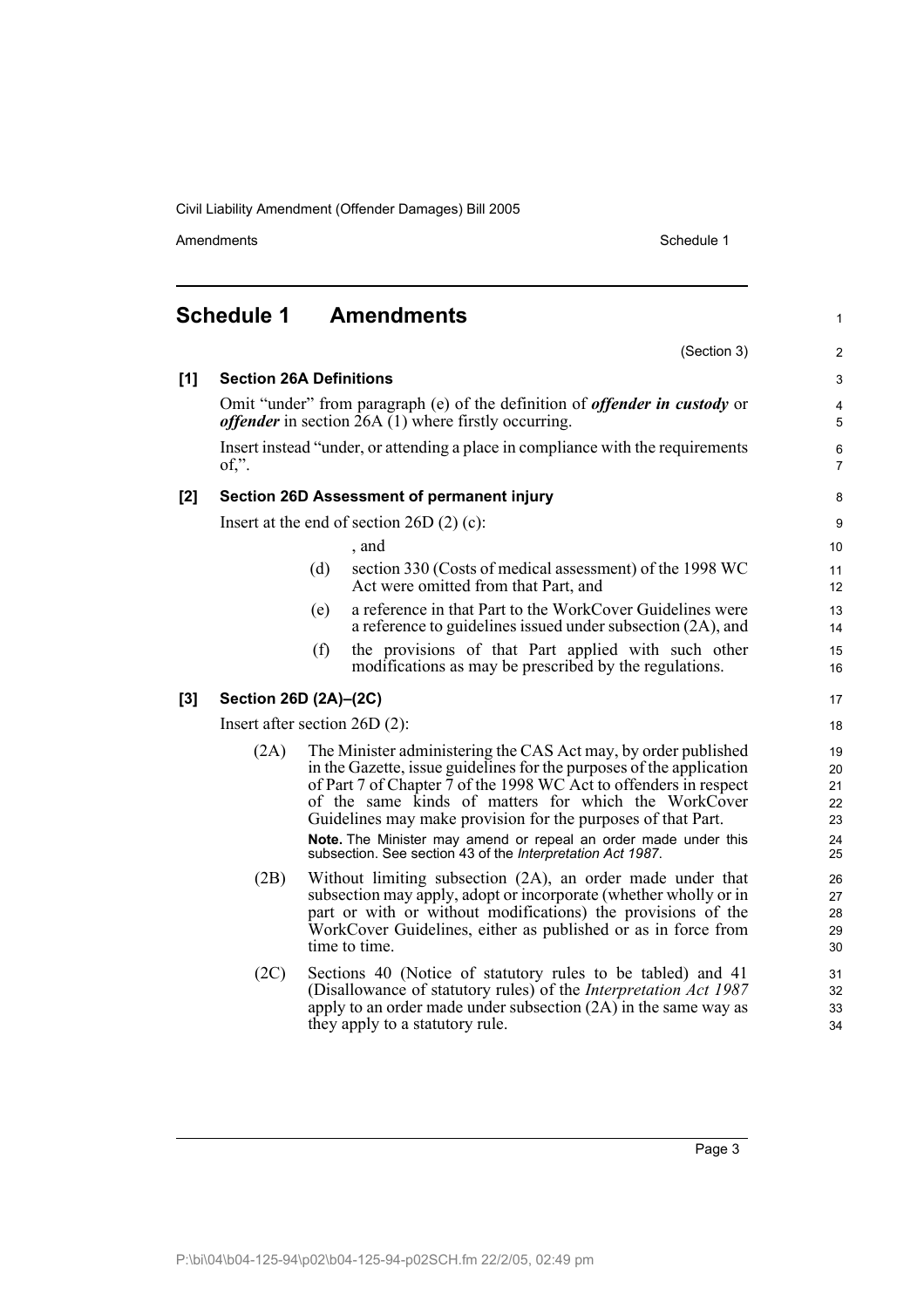Amendments Schedule 1

1

### **Schedule 1 Amendments**

|     |                                            | (Section 3)                                                                                                                                                                                                                                                                                                                                                                                                                                                          | 2                                      |  |
|-----|--------------------------------------------|----------------------------------------------------------------------------------------------------------------------------------------------------------------------------------------------------------------------------------------------------------------------------------------------------------------------------------------------------------------------------------------------------------------------------------------------------------------------|----------------------------------------|--|
| [1] |                                            | <b>Section 26A Definitions</b>                                                                                                                                                                                                                                                                                                                                                                                                                                       | 3                                      |  |
|     |                                            | Omit "under" from paragraph (e) of the definition of <i>offender in custody</i> or<br><i>offender</i> in section $26A(1)$ where firstly occurring.                                                                                                                                                                                                                                                                                                                   | $\overline{4}$<br>5                    |  |
|     | $of,$ ".                                   | Insert instead "under, or attending a place in compliance with the requirements                                                                                                                                                                                                                                                                                                                                                                                      | 6<br>$\overline{7}$                    |  |
| [2] |                                            | Section 26D Assessment of permanent injury                                                                                                                                                                                                                                                                                                                                                                                                                           | 8                                      |  |
|     | Insert at the end of section $26D(2)(c)$ : |                                                                                                                                                                                                                                                                                                                                                                                                                                                                      |                                        |  |
|     |                                            | , and                                                                                                                                                                                                                                                                                                                                                                                                                                                                | 10                                     |  |
|     |                                            | section 330 (Costs of medical assessment) of the 1998 WC<br>(d)<br>Act were omitted from that Part, and                                                                                                                                                                                                                                                                                                                                                              | 11<br>12                               |  |
|     |                                            | a reference in that Part to the WorkCover Guidelines were<br>(e)<br>a reference to guidelines issued under subsection (2A), and                                                                                                                                                                                                                                                                                                                                      | 13<br>14                               |  |
|     |                                            | the provisions of that Part applied with such other<br>(f)<br>modifications as may be prescribed by the regulations.                                                                                                                                                                                                                                                                                                                                                 | 15<br>16                               |  |
| [3] |                                            | Section 26D (2A)-(2C)                                                                                                                                                                                                                                                                                                                                                                                                                                                | 17                                     |  |
|     |                                            | Insert after section $26D(2)$ :                                                                                                                                                                                                                                                                                                                                                                                                                                      | 18                                     |  |
|     | (2A)                                       | The Minister administering the CAS Act may, by order published<br>in the Gazette, issue guidelines for the purposes of the application<br>of Part 7 of Chapter 7 of the 1998 WC Act to offenders in respect<br>of the same kinds of matters for which the WorkCover<br>Guidelines may make provision for the purposes of that Part.<br>Note. The Minister may amend or repeal an order made under this<br>subsection. See section 43 of the Interpretation Act 1987. | 19<br>20<br>21<br>22<br>23<br>24<br>25 |  |
|     | (2B)                                       | Without limiting subsection (2A), an order made under that<br>subsection may apply, adopt or incorporate (whether wholly or in<br>part or with or without modifications) the provisions of the<br>WorkCover Guidelines, either as published or as in force from<br>time to time.                                                                                                                                                                                     | 26<br>27<br>28<br>29<br>30             |  |
|     | (2C)                                       | Sections 40 (Notice of statutory rules to be tabled) and 41<br>(Disallowance of statutory rules) of the <i>Interpretation Act 1987</i><br>apply to an order made under subsection $(2A)$ in the same way as<br>they apply to a statutory rule.                                                                                                                                                                                                                       | 31<br>32<br>33<br>34                   |  |

Page 3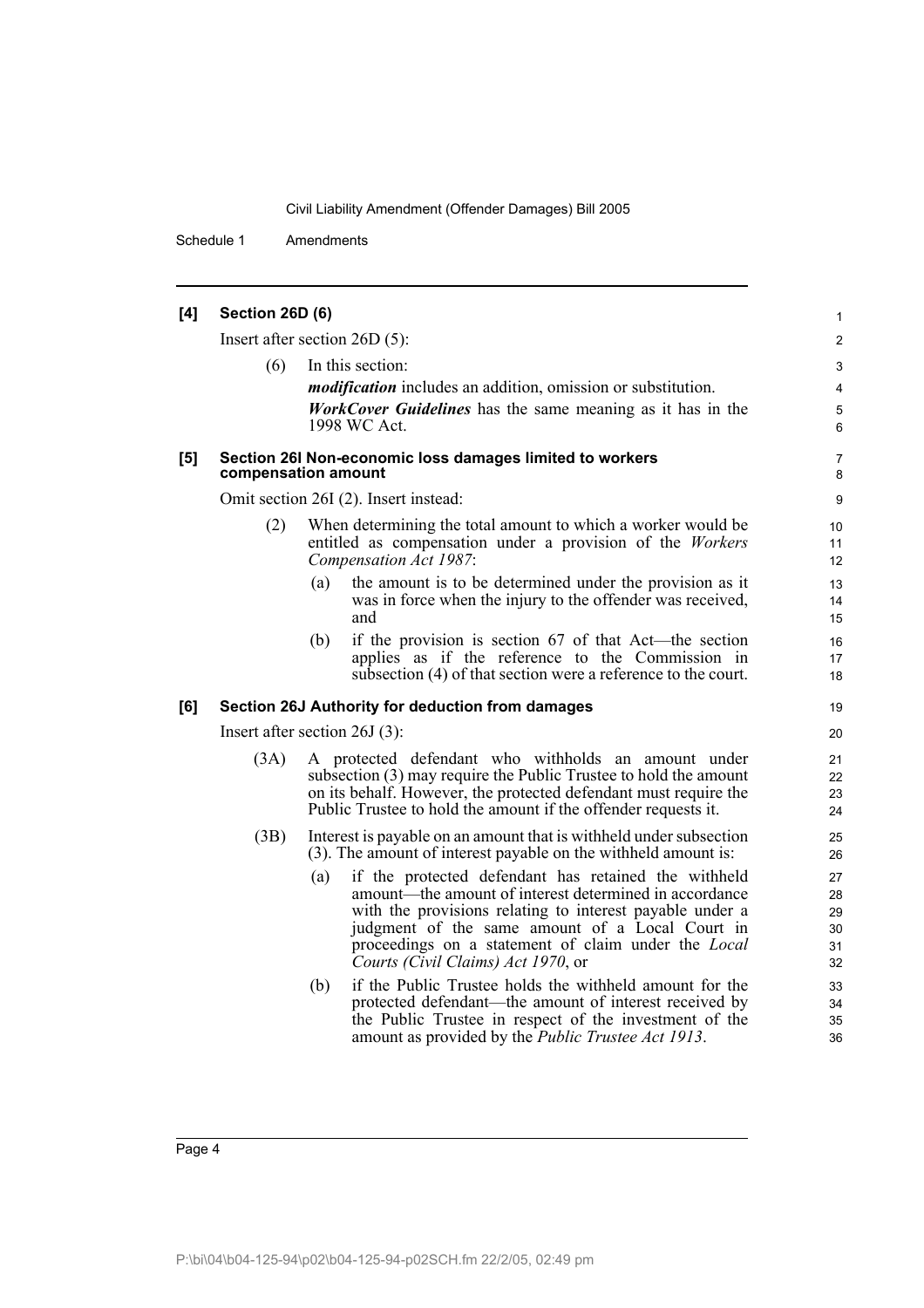Schedule 1 Amendments

| [4] | <b>Section 26D (6)</b>                                                          |                                                                                                                                                                                                                                                               |                                                                                                                                                                                                                                                                                                                                                                                                                                                                                                                                                                                                                                                          | 1                                                              |  |
|-----|---------------------------------------------------------------------------------|---------------------------------------------------------------------------------------------------------------------------------------------------------------------------------------------------------------------------------------------------------------|----------------------------------------------------------------------------------------------------------------------------------------------------------------------------------------------------------------------------------------------------------------------------------------------------------------------------------------------------------------------------------------------------------------------------------------------------------------------------------------------------------------------------------------------------------------------------------------------------------------------------------------------------------|----------------------------------------------------------------|--|
|     | Insert after section $26D(5)$ :                                                 |                                                                                                                                                                                                                                                               |                                                                                                                                                                                                                                                                                                                                                                                                                                                                                                                                                                                                                                                          | 2                                                              |  |
|     | (6)                                                                             |                                                                                                                                                                                                                                                               | In this section:                                                                                                                                                                                                                                                                                                                                                                                                                                                                                                                                                                                                                                         | 3                                                              |  |
|     |                                                                                 |                                                                                                                                                                                                                                                               | <i>modification</i> includes an addition, omission or substitution.                                                                                                                                                                                                                                                                                                                                                                                                                                                                                                                                                                                      | 4                                                              |  |
|     |                                                                                 |                                                                                                                                                                                                                                                               | <b>WorkCover Guidelines</b> has the same meaning as it has in the<br>1998 WC Act.                                                                                                                                                                                                                                                                                                                                                                                                                                                                                                                                                                        | $\mathbf 5$<br>6                                               |  |
| [5] | Section 26I Non-economic loss damages limited to workers<br>compensation amount |                                                                                                                                                                                                                                                               |                                                                                                                                                                                                                                                                                                                                                                                                                                                                                                                                                                                                                                                          |                                                                |  |
|     | Omit section 26I (2). Insert instead:                                           |                                                                                                                                                                                                                                                               |                                                                                                                                                                                                                                                                                                                                                                                                                                                                                                                                                                                                                                                          |                                                                |  |
|     | (2)                                                                             |                                                                                                                                                                                                                                                               | When determining the total amount to which a worker would be<br>entitled as compensation under a provision of the <i>Workers</i><br>Compensation Act 1987:                                                                                                                                                                                                                                                                                                                                                                                                                                                                                               | 10<br>11<br>12                                                 |  |
|     |                                                                                 | (a)                                                                                                                                                                                                                                                           | the amount is to be determined under the provision as it<br>was in force when the injury to the offender was received,<br>and                                                                                                                                                                                                                                                                                                                                                                                                                                                                                                                            | 13<br>14<br>15                                                 |  |
|     |                                                                                 | (b)                                                                                                                                                                                                                                                           | if the provision is section 67 of that Act—the section<br>applies as if the reference to the Commission in<br>subsection (4) of that section were a reference to the court.                                                                                                                                                                                                                                                                                                                                                                                                                                                                              | 16<br>17<br>18                                                 |  |
| [6] |                                                                                 |                                                                                                                                                                                                                                                               | Section 26J Authority for deduction from damages                                                                                                                                                                                                                                                                                                                                                                                                                                                                                                                                                                                                         | 19                                                             |  |
|     | Insert after section $26J(3)$ :                                                 |                                                                                                                                                                                                                                                               |                                                                                                                                                                                                                                                                                                                                                                                                                                                                                                                                                                                                                                                          |                                                                |  |
|     | (3A)                                                                            | A protected defendant who withholds an amount under<br>subsection (3) may require the Public Trustee to hold the amount<br>on its behalf. However, the protected defendant must require the<br>Public Trustee to hold the amount if the offender requests it. |                                                                                                                                                                                                                                                                                                                                                                                                                                                                                                                                                                                                                                                          |                                                                |  |
|     | (3B)                                                                            | (a)<br>(b)                                                                                                                                                                                                                                                    | Interest is payable on an amount that is withheld under subsection<br>(3). The amount of interest payable on the withheld amount is:<br>if the protected defendant has retained the withheld<br>amount—the amount of interest determined in accordance<br>with the provisions relating to interest payable under a<br>judgment of the same amount of a Local Court in<br>proceedings on a statement of claim under the <i>Local</i><br>Courts (Civil Claims) Act 1970, or<br>if the Public Trustee holds the withheld amount for the<br>protected defendant—the amount of interest received by<br>the Public Trustee in respect of the investment of the | 25<br>26<br>27<br>28<br>29<br>30<br>31<br>32<br>33<br>34<br>35 |  |
|     |                                                                                 |                                                                                                                                                                                                                                                               | amount as provided by the <i>Public Trustee Act 1913</i> .                                                                                                                                                                                                                                                                                                                                                                                                                                                                                                                                                                                               | 36                                                             |  |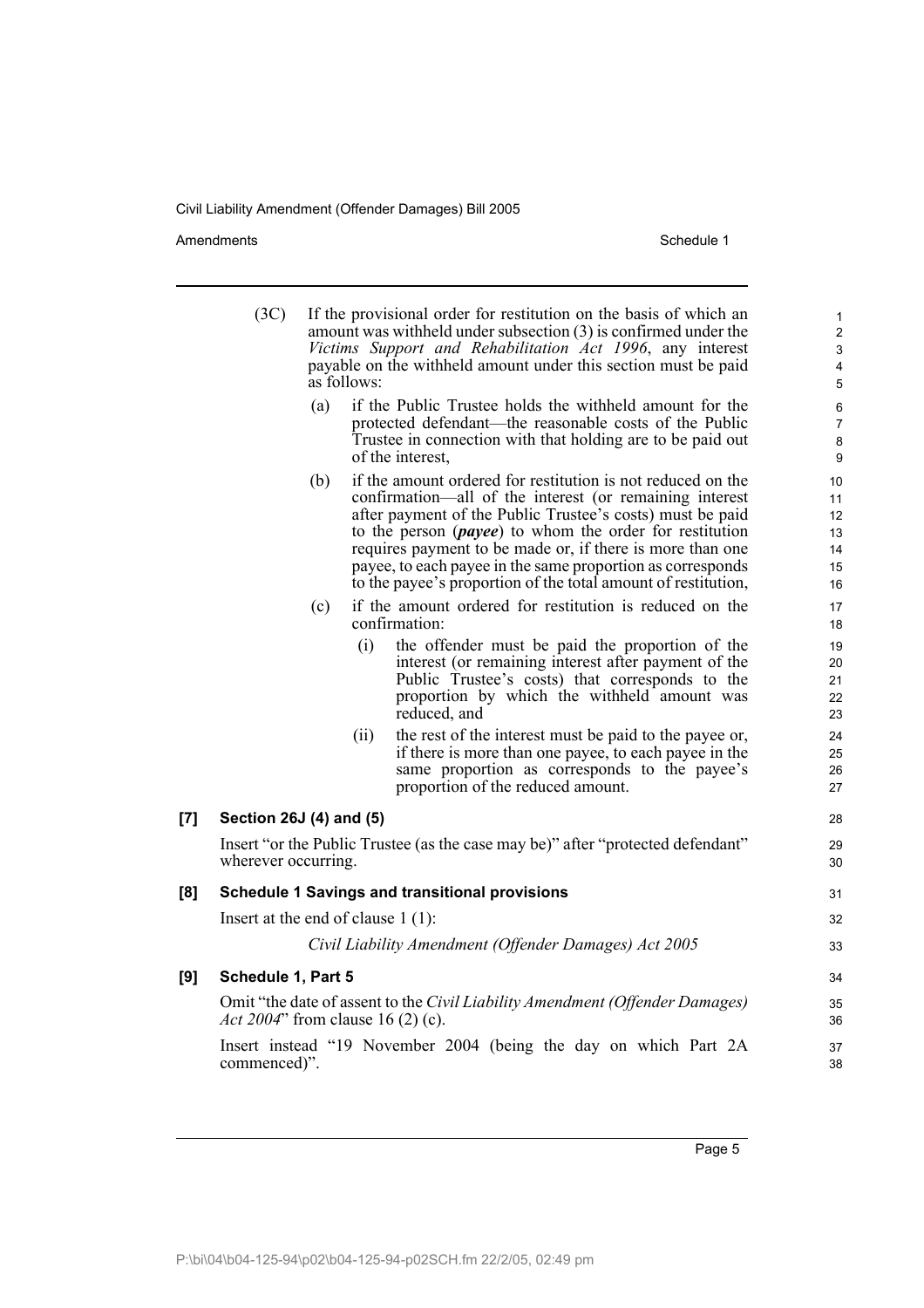Amendments Schedule 1

|     | (3C)                                                                                                                      | as follows: | If the provisional order for restitution on the basis of which an<br>amount was withheld under subsection (3) is confirmed under the<br>Victims Support and Rehabilitation Act 1996, any interest<br>payable on the withheld amount under this section must be paid                                                                                                                                                                                 | $\mathbf{1}$<br>$\boldsymbol{2}$<br>3<br>4<br>5 |  |  |
|-----|---------------------------------------------------------------------------------------------------------------------------|-------------|-----------------------------------------------------------------------------------------------------------------------------------------------------------------------------------------------------------------------------------------------------------------------------------------------------------------------------------------------------------------------------------------------------------------------------------------------------|-------------------------------------------------|--|--|
|     |                                                                                                                           | (a)         | if the Public Trustee holds the withheld amount for the<br>protected defendant—the reasonable costs of the Public<br>Trustee in connection with that holding are to be paid out<br>of the interest,                                                                                                                                                                                                                                                 | 6<br>$\overline{7}$<br>8<br>9                   |  |  |
|     |                                                                                                                           | (b)         | if the amount ordered for restitution is not reduced on the<br>confirmation-all of the interest (or remaining interest<br>after payment of the Public Trustee's costs) must be paid<br>to the person ( <i>payee</i> ) to whom the order for restitution<br>requires payment to be made or, if there is more than one<br>payee, to each payee in the same proportion as corresponds<br>to the payee's proportion of the total amount of restitution, | 10<br>11<br>12<br>13<br>14<br>15<br>16          |  |  |
|     |                                                                                                                           | (c)         | if the amount ordered for restitution is reduced on the<br>confirmation:                                                                                                                                                                                                                                                                                                                                                                            | 17<br>18                                        |  |  |
|     |                                                                                                                           |             | (i)<br>the offender must be paid the proportion of the<br>interest (or remaining interest after payment of the<br>Public Trustee's costs) that corresponds to the<br>proportion by which the withheld amount was<br>reduced, and                                                                                                                                                                                                                    | 19<br>20<br>21<br>22<br>23                      |  |  |
|     |                                                                                                                           |             | the rest of the interest must be paid to the payee or,<br>(ii)<br>if there is more than one payee, to each payee in the<br>same proportion as corresponds to the payee's<br>proportion of the reduced amount.                                                                                                                                                                                                                                       | 24<br>25<br>26<br>27                            |  |  |
| [7] | Section 26J (4) and (5)                                                                                                   |             |                                                                                                                                                                                                                                                                                                                                                                                                                                                     | 28                                              |  |  |
|     | wherever occurring.                                                                                                       |             | Insert "or the Public Trustee (as the case may be)" after "protected defendant"                                                                                                                                                                                                                                                                                                                                                                     | 29<br>30                                        |  |  |
| [8] |                                                                                                                           |             | <b>Schedule 1 Savings and transitional provisions</b>                                                                                                                                                                                                                                                                                                                                                                                               | 31                                              |  |  |
|     | Insert at the end of clause $1(1)$ :                                                                                      |             |                                                                                                                                                                                                                                                                                                                                                                                                                                                     |                                                 |  |  |
|     | Civil Liability Amendment (Offender Damages) Act 2005                                                                     |             |                                                                                                                                                                                                                                                                                                                                                                                                                                                     | 33                                              |  |  |
| [9] | Schedule 1, Part 5                                                                                                        |             |                                                                                                                                                                                                                                                                                                                                                                                                                                                     | 34                                              |  |  |
|     | Omit "the date of assent to the Civil Liability Amendment (Offender Damages)<br><i>Act 2004</i> " from clause 16 (2) (c). |             |                                                                                                                                                                                                                                                                                                                                                                                                                                                     | 35<br>36                                        |  |  |
|     | Insert instead "19 November 2004 (being the day on which Part 2A<br>commenced)".                                          |             |                                                                                                                                                                                                                                                                                                                                                                                                                                                     |                                                 |  |  |

Page 5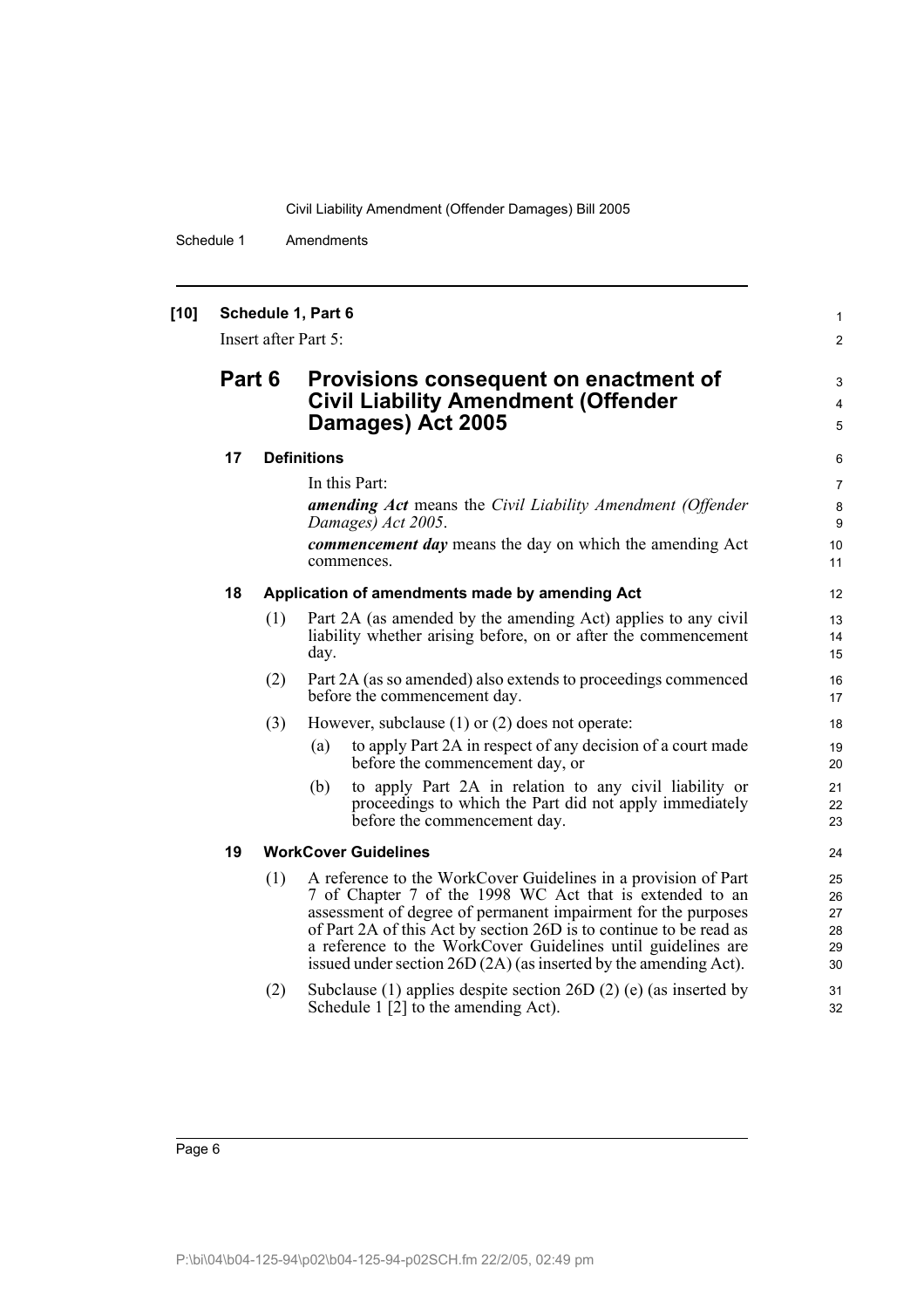Schedule 1 Amendments

| $[10]$ | Schedule 1, Part 6<br>Insert after Part 5:      |     |                                                                                                                                                                                                                                                                                                                                                                                                       | $\mathbf{1}$<br>$\overline{2}$   |
|--------|-------------------------------------------------|-----|-------------------------------------------------------------------------------------------------------------------------------------------------------------------------------------------------------------------------------------------------------------------------------------------------------------------------------------------------------------------------------------------------------|----------------------------------|
|        | Part 6<br>Provisions consequent on enactment of |     | 3                                                                                                                                                                                                                                                                                                                                                                                                     |                                  |
|        |                                                 |     | <b>Civil Liability Amendment (Offender</b>                                                                                                                                                                                                                                                                                                                                                            |                                  |
|        |                                                 |     | Damages) Act 2005                                                                                                                                                                                                                                                                                                                                                                                     | 4<br>$\overline{5}$              |
|        | 17                                              |     | <b>Definitions</b>                                                                                                                                                                                                                                                                                                                                                                                    | 6                                |
|        |                                                 |     | In this Part:                                                                                                                                                                                                                                                                                                                                                                                         | $\overline{7}$                   |
|        |                                                 |     | <b>amending Act</b> means the Civil Liability Amendment (Offender<br>Damages) Act 2005.                                                                                                                                                                                                                                                                                                               | 8<br>9                           |
|        |                                                 |     | <b><i>commencement day</i></b> means the day on which the amending Act<br>commences.                                                                                                                                                                                                                                                                                                                  | 10<br>11                         |
|        | 18                                              |     | Application of amendments made by amending Act                                                                                                                                                                                                                                                                                                                                                        | 12                               |
|        |                                                 | (1) | Part 2A (as amended by the amending Act) applies to any civil<br>liability whether arising before, on or after the commencement<br>day.                                                                                                                                                                                                                                                               | 13<br>14<br>15                   |
|        |                                                 | (2) | Part 2A (as so amended) also extends to proceedings commenced<br>before the commencement day.                                                                                                                                                                                                                                                                                                         | 16<br>17                         |
|        |                                                 | (3) | However, subclause $(1)$ or $(2)$ does not operate:                                                                                                                                                                                                                                                                                                                                                   | 18                               |
|        |                                                 |     | to apply Part 2A in respect of any decision of a court made<br>(a)<br>before the commencement day, or                                                                                                                                                                                                                                                                                                 | 19<br>20                         |
|        |                                                 |     | to apply Part 2A in relation to any civil liability or<br>(b)<br>proceedings to which the Part did not apply immediately<br>before the commencement day.                                                                                                                                                                                                                                              | 21<br>22<br>23                   |
|        | 19                                              |     | <b>WorkCover Guidelines</b>                                                                                                                                                                                                                                                                                                                                                                           | 24                               |
|        |                                                 | (1) | A reference to the WorkCover Guidelines in a provision of Part<br>7 of Chapter 7 of the 1998 WC Act that is extended to an<br>assessment of degree of permanent impairment for the purposes<br>of Part 2A of this Act by section 26D is to continue to be read as<br>a reference to the WorkCover Guidelines until guidelines are<br>issued under section 26D (2A) (as inserted by the amending Act). | 25<br>26<br>27<br>28<br>29<br>30 |
|        |                                                 | (2) | Subclause (1) applies despite section $26D(2)$ (e) (as inserted by<br>Schedule $1 \overline{2}$ to the amending Act).                                                                                                                                                                                                                                                                                 | 31<br>32                         |